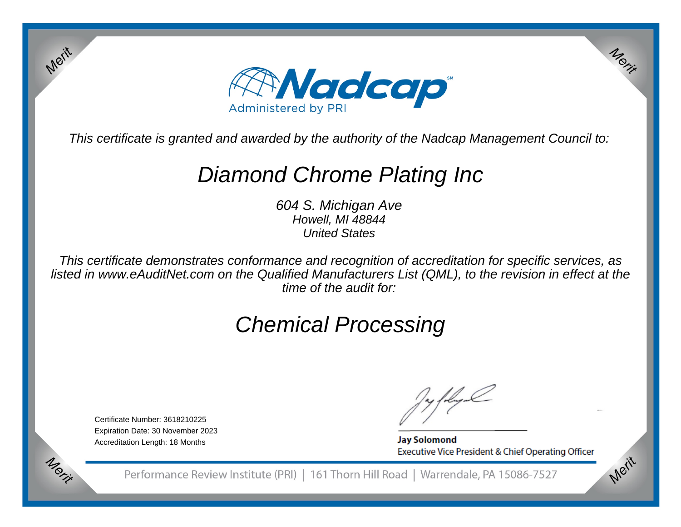

This certificate is granted and awarded by the authority of the Nadcap Management Council to:

# Diamond Chrome Plating Inc

604 S. Michigan AveHowell, MI 48844United States

This certificate demonstrates conformance and recognition of accreditation for specific services, as listed in www.eAuditNet.com on the Qualified Manufacturers List (QML), to the revision in effect at thetime of the audit for:

# Chemical Processing

Certificate Number: 3618210225 Expiration Date: 30 November 2023Accreditation Length: 18 Months

Merit

Merit

**Jay Solomond** Executive Vice President & Chief Operating Officer Merit

Merit

Performance Review Institute (PRI) | 161 Thorn Hill Road | Warrendale, PA 15086-7527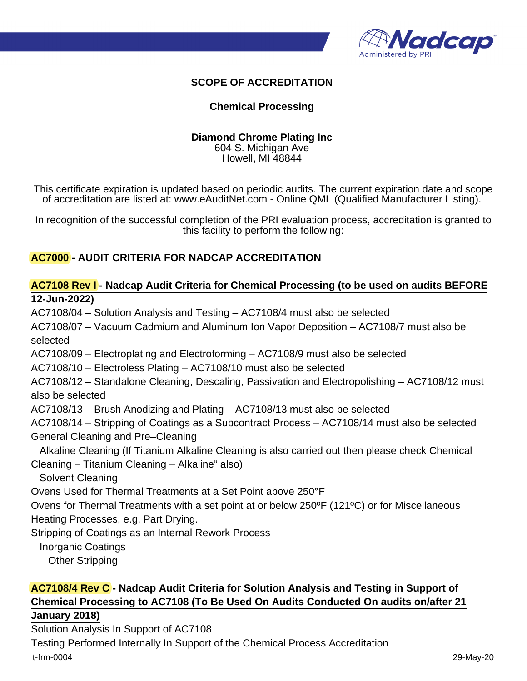

## **SCOPE OF ACCREDITATION**

### **Chemical Processing**

#### **Diamond Chrome Plating Inc** 604 S. Michigan Ave

Howell, MI 48844

This certificate expiration is updated based on periodic audits. The current expiration date and scope of accreditation are listed at: www.eAuditNet.com - Online QML (Qualified Manufacturer Listing).

In recognition of the successful completion of the PRI evaluation process, accreditation is granted to this facility to perform the following:

## **AC7000 - AUDIT CRITERIA FOR NADCAP ACCREDITATION**

## **AC7108 Rev I - Nadcap Audit Criteria for Chemical Processing (to be used on audits BEFORE 12-Jun-2022)**

AC7108/04 – Solution Analysis and Testing – AC7108/4 must also be selected AC7108/07 – Vacuum Cadmium and Aluminum Ion Vapor Deposition – AC7108/7 must also be selected AC7108/09 – Electroplating and Electroforming – AC7108/9 must also be selected AC7108/10 – Electroless Plating – AC7108/10 must also be selected AC7108/12 – Standalone Cleaning, Descaling, Passivation and Electropolishing – AC7108/12 must also be selected AC7108/13 – Brush Anodizing and Plating – AC7108/13 must also be selected AC7108/14 – Stripping of Coatings as a Subcontract Process – AC7108/14 must also be selected General Cleaning and Pre–Cleaning Alkaline Cleaning (If Titanium Alkaline Cleaning is also carried out then please check Chemical Cleaning – Titanium Cleaning – Alkaline" also) Solvent Cleaning Ovens Used for Thermal Treatments at a Set Point above 250°F Ovens for Thermal Treatments with a set point at or below 250ºF (121ºC) or for Miscellaneous Heating Processes, e.g. Part Drying. Stripping of Coatings as an Internal Rework Process

Inorganic Coatings

Other Stripping

## **AC7108/4 Rev C - Nadcap Audit Criteria for Solution Analysis and Testing in Support of Chemical Processing to AC7108 (To Be Used On Audits Conducted On audits on/after 21**

#### **January 2018)**

Solution Analysis In Support of AC7108 Testing Performed Internally In Support of the Chemical Process Accreditation t-frm-0004 29-May-20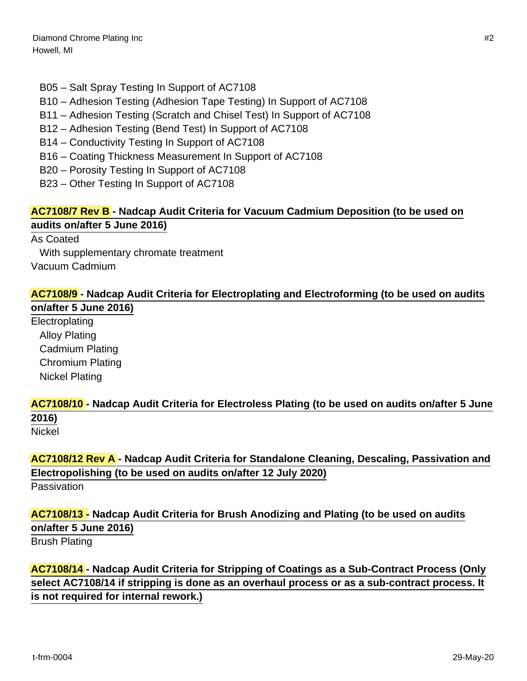- B05 Salt Spray Testing In Support of AC7108
- B10 Adhesion Testing (Adhesion Tape Testing) In Support of AC7108
- B11 Adhesion Testing (Scratch and Chisel Test) In Support of AC7108
- B12 Adhesion Testing (Bend Test) In Support of AC7108
- B14 Conductivity Testing In Support of AC7108
- B16 Coating Thickness Measurement In Support of AC7108
- B20 Porosity Testing In Support of AC7108
- B23 Other Testing In Support of AC7108

## **AC7108/7 Rev B - Nadcap Audit Criteria for Vacuum Cadmium Deposition (to be used on audits on/after 5 June 2016)**

As Coated With supplementary chromate treatment Vacuum Cadmium

## **AC7108/9 - Nadcap Audit Criteria for Electroplating and Electroforming (to be used on audits**

**on/after 5 June 2016)** Electroplating Alloy Plating Cadmium Plating Chromium Plating Nickel Plating

## **AC7108/10 - Nadcap Audit Criteria for Electroless Plating (to be used on audits on/after 5 June 2016)**

Nickel

**AC7108/12 Rev A - Nadcap Audit Criteria for Standalone Cleaning, Descaling, Passivation and Electropolishing (to be used on audits on/after 12 July 2020)**

Passivation

## **AC7108/13 - Nadcap Audit Criteria for Brush Anodizing and Plating (to be used on audits on/after 5 June 2016)**

Brush Plating

**AC7108/14 - Nadcap Audit Criteria for Stripping of Coatings as a Sub-Contract Process (Only select AC7108/14 if stripping is done as an overhaul process or as a sub-contract process. It is not required for internal rework.)**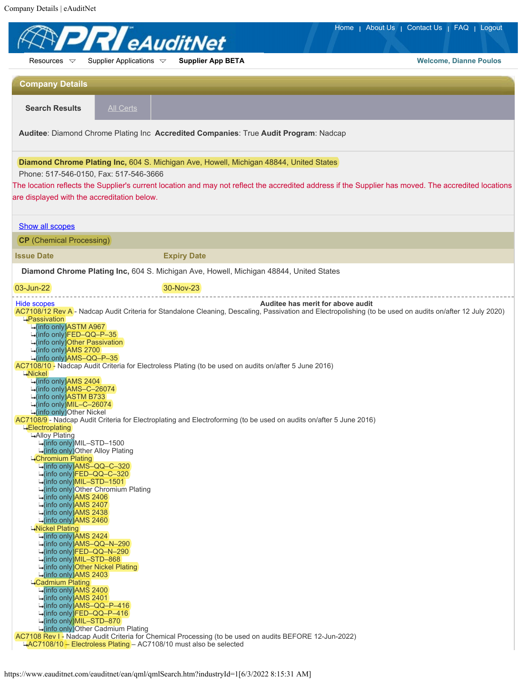Company Details | eAuditNet

| Home   About Us   Contact Us   FAQ   Logout<br><b>R</b> eAuditNet                                                                                                                                                                                                                                                                                                                                                                                                                                                                                                                                                                                                                                                                                                                                                                                                                                                       |                                                                                                                                                                                                                                                                  |                                                                                                                                                      |
|-------------------------------------------------------------------------------------------------------------------------------------------------------------------------------------------------------------------------------------------------------------------------------------------------------------------------------------------------------------------------------------------------------------------------------------------------------------------------------------------------------------------------------------------------------------------------------------------------------------------------------------------------------------------------------------------------------------------------------------------------------------------------------------------------------------------------------------------------------------------------------------------------------------------------|------------------------------------------------------------------------------------------------------------------------------------------------------------------------------------------------------------------------------------------------------------------|------------------------------------------------------------------------------------------------------------------------------------------------------|
| Resources $\nabla$                                                                                                                                                                                                                                                                                                                                                                                                                                                                                                                                                                                                                                                                                                                                                                                                                                                                                                      | Supplier Applications $\triangledown$<br><b>Supplier App BETA</b>                                                                                                                                                                                                | <b>Welcome, Dianne Poulos</b>                                                                                                                        |
| <b>Company Details</b>                                                                                                                                                                                                                                                                                                                                                                                                                                                                                                                                                                                                                                                                                                                                                                                                                                                                                                  |                                                                                                                                                                                                                                                                  |                                                                                                                                                      |
| <b>Search Results</b>                                                                                                                                                                                                                                                                                                                                                                                                                                                                                                                                                                                                                                                                                                                                                                                                                                                                                                   | <b>All Certs</b>                                                                                                                                                                                                                                                 |                                                                                                                                                      |
| Auditee: Diamond Chrome Plating Inc Accredited Companies: True Audit Program: Nadcap<br>Diamond Chrome Plating Inc, 604 S. Michigan Ave, Howell, Michigan 48844, United States                                                                                                                                                                                                                                                                                                                                                                                                                                                                                                                                                                                                                                                                                                                                          |                                                                                                                                                                                                                                                                  |                                                                                                                                                      |
|                                                                                                                                                                                                                                                                                                                                                                                                                                                                                                                                                                                                                                                                                                                                                                                                                                                                                                                         |                                                                                                                                                                                                                                                                  |                                                                                                                                                      |
| are displayed with the accreditation below.                                                                                                                                                                                                                                                                                                                                                                                                                                                                                                                                                                                                                                                                                                                                                                                                                                                                             |                                                                                                                                                                                                                                                                  | The location reflects the Supplier's current location and may not reflect the accredited address if the Supplier has moved. The accredited locations |
| <b>Show all scopes</b>                                                                                                                                                                                                                                                                                                                                                                                                                                                                                                                                                                                                                                                                                                                                                                                                                                                                                                  |                                                                                                                                                                                                                                                                  |                                                                                                                                                      |
| <b>CP</b> (Chemical Processing)                                                                                                                                                                                                                                                                                                                                                                                                                                                                                                                                                                                                                                                                                                                                                                                                                                                                                         |                                                                                                                                                                                                                                                                  |                                                                                                                                                      |
| <b>Issue Date</b>                                                                                                                                                                                                                                                                                                                                                                                                                                                                                                                                                                                                                                                                                                                                                                                                                                                                                                       | <b>Expiry Date</b>                                                                                                                                                                                                                                               |                                                                                                                                                      |
|                                                                                                                                                                                                                                                                                                                                                                                                                                                                                                                                                                                                                                                                                                                                                                                                                                                                                                                         | Diamond Chrome Plating Inc, 604 S. Michigan Ave, Howell, Michigan 48844, United States                                                                                                                                                                           |                                                                                                                                                      |
| 03-Jun-22                                                                                                                                                                                                                                                                                                                                                                                                                                                                                                                                                                                                                                                                                                                                                                                                                                                                                                               | 30-Nov-23                                                                                                                                                                                                                                                        |                                                                                                                                                      |
| -(info only)FED-QQ-P-35<br>info only) Other Passivation<br>→(info only)AMS 2700<br>-(info only)AMS-QQ-P-35<br>$\rightarrow$ Nickel<br>-(info only)AMS 2404<br>-(info only)AMS-C-26074<br><mark>⊶</mark> (info only)ASTM B733<br>-(info only)MIL-C-26074<br>-(info only)Other Nickel<br>∸Electroplating<br>Alloy Plating<br>-(info only)MIL-STD-1500<br>-(info only) Other Alloy Plating<br>-Chromium Plating<br>-info only)AMS-QQ-C-320<br>-(info only)FED–QQ–C–320<br>⊶(info only)MIL–STD–1501<br>⊶(info only)AMS 2406<br>⊶(info only)AMS 2407<br>-(info only)AMS 2438<br><mark>⊶(info only)AMS 2460</mark><br>-Nickel Plating<br>→(info only)AMS 2424<br>⊶(info only)AMS-QQ-N-290<br>-(info only)FED–QQ–N–290⊖<br>⊶(info only)MIL–STD–868<br>-(info only)Other Nickel Plating∔<br><b>-</b> (info only)AMS 2403<br><b>-Cadmium Plating</b><br>-(info only)AMS 2400<br>⊶(info only)AMS 2401<br>-(info only)AMS-QQ-P-416 | AC7108/10 - Nadcap Audit Criteria for Electroless Plating (to be used on audits on/after 5 June 2016)<br>AC7108/9- Nadcap Audit Criteria for Electroplating and Electroforming (to be used on audits on/after 5 June 2016)<br>-(info only)Other Chromium Plating |                                                                                                                                                      |